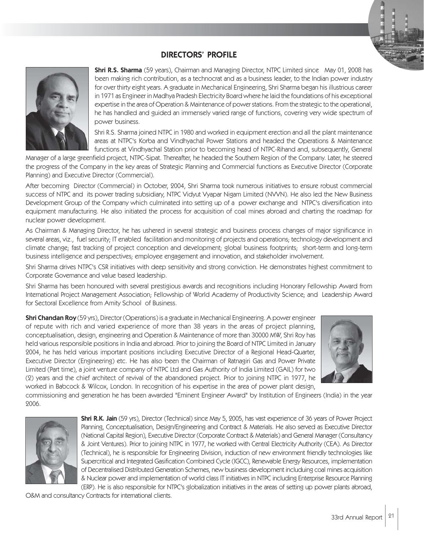## DIRECTORS' PROFILE



**Shri R.S. Sharma** (59 years), Chairman and Managing Director, NTPC Limited since May 01, 2008 has been making rich contribution, as a technocrat and as a business leader, to the Indian power industry for over thirty eight years. A graduate in Mechanical Engineering, Shri Sharma began his illustrious career in 1971 as Engineer in Madhya Pradesh Electricity Board where he laid the foundations of his exceptional expertise in the area of Operation & Maintenance of power stations. From the strategic to the operational, he has handled and guided an immensely varied range of functions, covering very wide spectrum of power business.

Shri R.S. Sharma joined NTPC in 1980 and worked in equipment erection and all the plant maintenance areas at NTPC's Korba and Vindhyachal Power Stations and headed the Operations & Maintenance functions at Vindhyachal Station prior to becoming head of NTPC-Rihand and, subsequently, General

Manager of a large greenfield project, NTPC-Sipat. Thereafter, he headed the Southern Region of the Company. Later, he steered the progress of the Company in the key areas of Strategic Planning and Commercial functions as Executive Director (Corporate Planning) and Executive Director (Commercial).

After becoming Director (Commercial) in October, 2004, Shri Sharma took numerous initiatives to ensure robust commercial success of NTPC and its power trading subsidiary, NTPC Vidyut Vyapar Nigam Limited (NVVN). He also led the New Business Development Group of the Company which culminated into setting up of a power exchange and NTPC's diversification into equipment manufacturing. He also initiated the process for acquisition of coal mines abroad and charting the roadmap for nuclear power development.

As Chairman & Managing Director, he has ushered in several strategic and business process changes of major significance in several areas, viz., fuel security; IT enabled facilitation and monitoring of projects and operations; technology development and climate change; fast tracking of project conception and development; global business footprints; short-term and long-term business intelligence and perspectives; employee engagement and innovation, and stakeholder involvement.

Shri Sharma drives NTPC's CSR initiatives with deep sensitivity and strong conviction. He demonstrates highest commitment to Corporate Governance and value based leadership.

Shri Sharma has been honoured with several prestigious awards and recognitions including Honorary Fellowship Award from International Project Management Association; Fellowship of World Academy of Productivity Science; and Leadership Award for Sectoral Excellence from Amity School of Business.

**Shri Chandan Roy** (59 yrs), Director (Operations) is a graduate in Mechanical Engineering. A power engineer of repute with rich and varied experience of more than 38 years in the areas of project planning, conceptualisation, design, engineering and Operation & Maintenance of more than 30000 MW, Shri Roy has held various responsible positions in India and abroad. Prior to joining the Board of NTPC Limited in January 2004, he has held various important positions including Executive Director of a Regional Head-Quarter, Executive Director (Engineering) etc. He has also been the Chairman of Ratnagiri Gas and Power Private Limited (Part time), a joint venture company of NTPC Ltd and Gas Authority of India Limited (GAIL) for two (2) years and the chief architect of revival of the abandoned project. Prior to joining NTPC in 1977, he worked in Babcock & Wilcox, London. In recognition of his expertise in the area of power plant design,



commissioning and generation he has been awarded "Eminent Engineer Award" by Institution of Engineers (India) in the year 2006.



Shri R.K. Jain (59 yrs), Director (Technical) since May 5, 2005, has vast experience of 36 years of Power Project Planning, Conceptualisation, Design/Engineering and Contract & Materials. He also served as Executive Director (National Capital Region), Executive Director (Corporate Contract & Materials) and General Manager (Consultancy & Joint Ventures). Prior to joining NTPC in 1977, he worked with Central Electricity Authority (CEA). As Director (Technical), he is responsible for Engineering Division, induction of new environment friendly technologies like Supercritical and Integrated Gasification Combined Cycle (IGCC), Renewable Energy Resources, implementation of Decentralised Distributed Generation Schemes, new business development includuing coal mines acquisition & Nuclear power and implementation of world class IT initiatives in NTPC including Enterprise Resource Planning (ERP). He is also responsible for NTPC's globalization initiatives in the areas of setting up power plants abroad,

O&M and consultancy Contracts for international clients.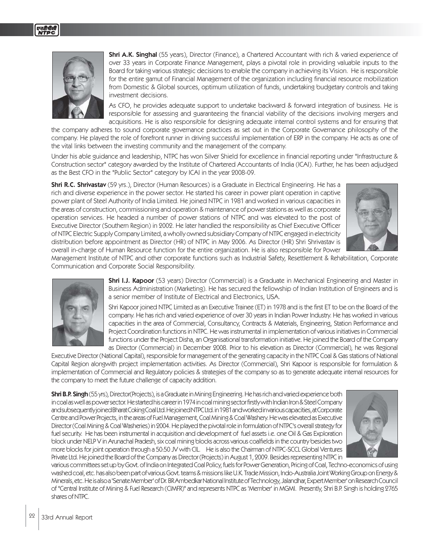

**Shri A.K. Singhal** (55 years), Director (Finance), a Chartered Accountant with rich & varied experience of over 33 years in Corporate Finance Management, plays a pivotal role in providing valuable inputs to the Board for taking various strategic decisions to enable the company in achieving its Vision. He is responsible for the entire gamut of Financial Management of the organization including financial resource mobilization from Domestic & Global sources, optimum utilization of funds, undertaking budgetary controls and taking investment decisions.

As CFO, he provides adequate support to undertake backward & forward integration of business. He is responsible for assessing and guaranteeing the financial viability of the decisions involving mergers and acquisitions. He is also responsible for designing adequate internal control systems and for ensuring that

the company adheres to sound corporate governance practices as set out in the Corporate Governance philosophy of the company. He played the role of forefront runner in driving successful implementation of ERP in the company. He acts as one of the vital links between the investing community and the management of the company.

Under his able guidance and leadership, NTPC has won Silver Shield for excellence in financial reporting under "Infrastructure & Construction sector" category awarded by the Institute of Chartered Accountants of India (ICAI). Further, he has been adjudged as the Best CFO in the "Public Sector" category by ICAI in the year 2008-09.

Shri R.C. Shrivastav (59 yrs.), Director (Human Resources) is a Graduate in Electrical Engineering. He has a rich and diverse experience in the power sector. He started his career in power plant operation in captive power plant of Steel Authority of India Limited. He joined NTPC in 1981 and worked in various capacities in the areas of construction, commissioning and operation & maintenance of power stations as well as corporate operation services. He headed a number of power stations of NTPC and was elevated to the post of Executive Director (Southern Region) in 2002. He later handled the responsibility as Chief Executive Officer of NTPC Electric Supply Company Limited, a wholly owned subsidiary Company of NTPC engaged in electricity distribution before appointment as Director (HR) of NTPC in May 2006. As Director (HR) Shri Shrivastav is overall in-charge of Human Resource function for the entire organization. He is also responsible for Power



Management Institute of NTPC and other corporate functions such as Industrial Safety, Resettlement & Rehabilitation, Corporate Communication and Corporate Social Responsibility.



**Shri I.J. Kapoor** (53 years) Director (Commercial) is a Graduate in Mechanical Engineering and Master in Business Administration (Marketing). He has secured the fellowship of Indian Institution of Engineers and is a senior member of Institute of Electrical and Electronics, USA.

Shri Kapoor joined NTPC Limited as an Executive Trainee (ET) in 1978 and is the first ET to be on the Board of the company. He has rich and varied experience of over 30 years in Indian Power Industry. He has worked in various capacities in the area of Commercial, Consultancy, Contracts & Materials, Engineering, Station Performance and Project Coordination functions in NTPC. He was instrumental in implementation of various initiatives in Commercial functions under the Project Disha, an Organisational transformation initiative. He joined the Board of the Company as Director (Commercial) in December 2008. Prior to his elevation as Director (Commercial), he was Regional

Executive Director (National Capital), responsible for management of the generating capacity in the NTPC Coal & Gas stations of National Capital Region alongwith project implementation activities. As Director (Commercial), Shri Kapoor is responsible for formulation & implementation of Commercial and Regulatory policies & strategies of the company so as to generate adequate internal resources for the company to meet the future challenge of capacity addition.

Shri B.P. Singh (55 yrs), Director (Projects), is a Graduate in Mining Engineering. He has rich and varied experience both in coal as well as power sector. He started his career in 1974 in coal mining sector firstly with Indian Iron & Steel Company and subsequently joined Bharat Coking Coal Ltd. He joined NTPC Ltd. in 1981 and worked in various capacities, at Corporate Centre and Power Projects, in the areas of Fuel Management, Coal Mining & Coal Washery. He was elevated as Executive Director (Coal Mining & Coal Washeries) in 2004. He played the pivotal role in formulation of NTPC's overall strategy for fuel security. He has been instrumental in acquisition and development of fuel assets i.e. one Oil & Gas Exploration block under NELP V in Arunachal Pradesh, six coal mining blocks across various coalfields in the country besides two more blocks for joint operation through a 50:50 JV with CIL. He is also the Chairman of NTPC-SCCL Global Ventures Private Ltd. He joined the Board of the Company as Director (Projects) in August 1, 2009. Besides representing NTPC in



various committees set up by Govt. of India on Integrated Coal Policy, fuels for Power Generation, Pricing of Coal, Techno-economics of using washed coal, etc. has also been part of various Govt. teams & missions like U.K. Trade Mission, Indo-Australia Joint Working Group on Energy & Minerals, etc. He is also a 'Senate Member' of Dr. BR Ambedkar National Institute of Technology, Jalandhar, Expert Member' on Research Council of "Central Institute of Mining & Fuel Research (CIMFR)" and represents NTPC as 'Member' in MGMI. Presently, Shri B.P. Singh is holding 2765 shares of NTPC.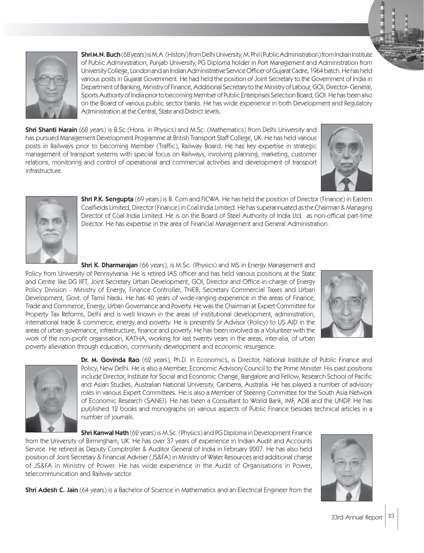

Shri M.N. Buch (68 years) is M.A. (History) from Delhi University, M. Phil (Public Administration) from Indian Institute of Public Administration, Punjab University, PG Diploma holder in Port Management and Administration from University College, London and an Indian Administrative Service Officer of Gujarat Cadre, 1964 batch. He has held various posts in Gujarat Government. He had held the position of Joint Secretary to the Government of India in Department of Banking, Ministry of Finance, Additional Secretary to the Ministry of Labour, GOI, Director- General, Sports Authority of India prior to becoming Member of Public Enterprises Selection Board, GOI. He has been also on the Board of various public sector banks. He has wide experience in both Development and Regulatory Administration at the Central, State and District levels.

**Shri Shanti Narain** (68 years) is B.Sc (Hons. in Physics) and M.Sc. (Mathematics) from Delhi University and has pursued Management Development Programme at British Transport Staff College, UK. He has held various posts in Railways prior to becoming Member (Traffic), Railway Board. He has key expertise in strategic management of transport systems with special focus on Railways, involving planning, marketing, customer relations, monitoring and control of operational and commercial activities and development of transport infrastructure.





**Shri P.K. Sengupta** (69 years) is B. Com and FICWA. He has held the position of Director (Finance) in Eastern Coalfields Limited, Director (Finance) in Coal India Limited. He has superannuated as the Chairman & Managing Director of Coal India Limited. He is on the Board of Steel Authority of India Ltd. as non-official part-time Director. He has expertise in the area of Financial Management and General Administration.

**Shri K. Dharmarajan** (66 years), is M.Sc. (Physics) and MS in Energy Management and Policy from University of Pennsylvania. He is retired IAS officer and has held various positions at the State and Centre like DG IIFT, Joint Secretary Urban Development, GOI, Director and Office-in-charge of Energy Policy Division - Ministry of Energy, Finance Controller, TNEB, Secretary Commercial Taxes and Urban Development, Govt. of Tamil Nadu. He has 40 years of wide-ranging experience in the areas of Finance, Trade and Commerce, Energy, Urban Governance and Poverty. He was the Chairman at Expert Committee for Property Tax Reforms, Delhi and is well known in the areas of institutional development, administration, international trade & commerce, energy and poverty. He is presently Sr Advisor (Policy) to US AID in the areas of urban governance, infrastructure, finance and poverty. He has been involved as a Volunteer with the work of the non-profit organisation, KATHA, working for last twenty years in the areas, inter-alia, of urban poverty alleviation through education, community development and economic resurgence.





Dr. M. Govinda Rao (62 years), Ph.D. in Economics, is Director, National Institute of Public Finance and Policy, New Delhi. He is also a Member, Economic Advisory Council to the Prime Minister. His past positions include Director, Institute for Social and Economic Change, Bangalore and Fellow, Research School of Pacific and Asian Studies, Australian National University, Canberra, Australia. He has played a number of advisory roles in various Expert Committees. He is also a Member of Steering Committee for the South Asia Network of Economic Research (SANEI). He has been a Consultant to World Bank, IMF, ADB and the UNDP. He has published 12 books and monographs on various aspects of Public Finance besides technical articles in a number of journals.

**Shri Kanwal Nath** (62 years) is M.Sc. (Physics) and PG Diploma in Development Finance from the University of Birmingham, UK. He has over 37 years of experience in Indian Audit and Accounts Service. He retired as Deputy Comptroller & Auditor General of India in February 2007. He has also held position of Joint Secretary & Financial Adviser (JS&FA) in Ministry of Water Resources and additional charge of JS&FA in Ministry of Power. He has wide experience in the Audit of Organisations in Power, telecommunication and Railway sector.

**Shri Adesh C. Jain** (64 years) is a Bachelor of Science in Mathematics and an Electrical Engineer from the